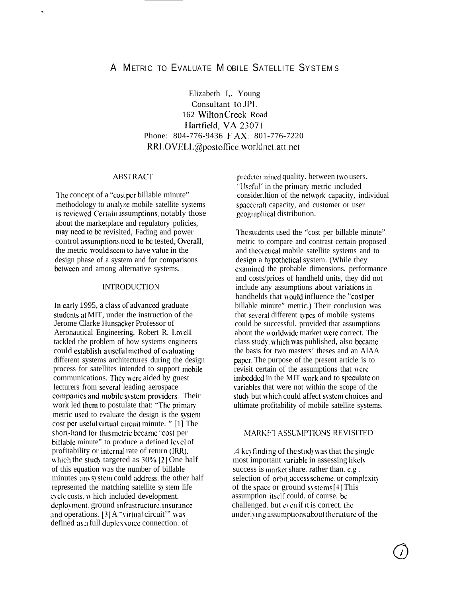# A METRIC TO EVALUATE MOBILE SATELLITE SYSTEMS

Elizabeth I,. Young Consultant to JPI. 162 Wilton Creek Road IIartfield, VA 23071 Phone: 804-776-9436 FAX: 801-776-7220 RRLOVELL@postoffice.worldnet.att.net

### ABSTRACT

.

The concept of a "cost per billable minute" methodology to analyze mobile satellite systems is reviewed. Certain assumptions, notably those about the marketplace and regulatory policies, may need to be revisited, Fading and power control assumptions need to be tested, Overall, the metric would seem to have value in the design phase of a system and for comparisons between and among alternative systems.

#### INTRODUCTION

In early 1995, a class of advanced graduate students at MIT, under the instruction of the Jerome Clarke Hunsacker Professor of Aeronautical Engineering, Robert R. Lovell, tackled the problem of how systems engineers could establish a useful method of evaluating different systems architectures during the design process for satellites intended to support niobile communications. They were aided by guest lecturers from several leading aerospace companies and mobile system providers. Their work led them to postulate that: "The primary metric used to evaluate the design is the systcm cost per useful virtual circuit minute. " $[1]$  The short-hand for this metric became "cost per billable minute" to produce a defined level of profitability or interml rate of return (IRR), which the study targeted as  $30\%$  [2] One half of this equation tvas the number of billable minutes any system could address; the other half represented the matching satellite  $\boldsymbol{s}$  stem life cycle costs, w hich included development. deployment. ground infrastructure. insurance and operations.  $[3]$  A "virtual circuit" was defined as a full duplex voice connection. of

predctermined quality. between two users. "Useful" in the primary metric included consider.ltion of the network capacity, individual spacecraft capacity, and customer or user gcograp!lical distribution.

The students used the "cost per billable minute" metric to compare and contrast certain proposed and thcorcticai mobile satellite systems and to design a hypothetical system. (While they cxarnincd the probable dimensions, performance and costs/prices of handheld units, they did not include any assumptions about variations in handhelds that would influence the "cost per billable minute" metric.) Their conclusion was that several different types of mobile systems could be successful, provided that assumptions about the worldwide market were correct. The class study, which was published, also became the basis for two masters' theses and an AIAA paper. The purpose of the present article is to revisit certain of the assumptions that \vere imbedded in the MIT work and to speculate on variables that were not within the scope of the study but which could affect system choices and ultimate profitability of mobile satellite systems.

#### MARKET AS SUMPTIONS REVISITED

.4 key finding of the study was that the single most important variable in assessing likely success is market share. rather than.  $e.g.$ selection of orbit. access scheme, or complexity of the space or ground  $\frac{s}{s}$  stems [4] This assumption itself could. of course, be challenged. but even if it is correct, the underlying assumptions about the nature of the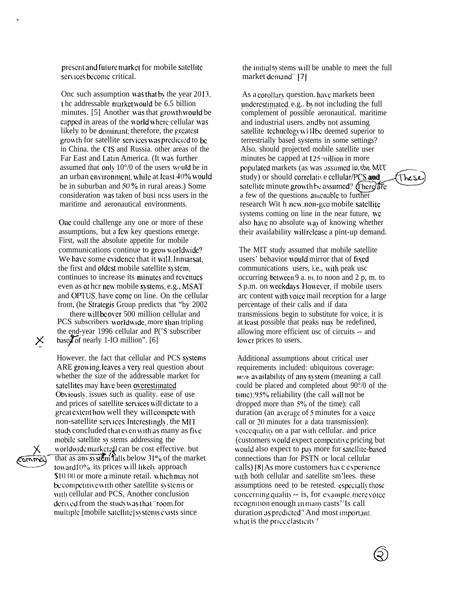present and future market for mobile satellite services become critical.

One such assumption was that by the year 2013, t he addressable market would be 6.5 billion minutes. [5] Another was that growth would be capped in areas of the world where cellular was likely to be dominant; therefore, the greatest growth for satellite services was predicted to be in China. the CIS and Russia. other areas of the Far East and Latin America. (It was further assumed that only  $10^{\circ}/0$  of the users would be in an urban environment, while at least 40% would be in suburban and 50% in rural areas.) Some consideration was taken of busi ncss users in the maritime and aeronautical environments.

One could challenge any one or more of these assumptions, but a few key questions emerge. First, will the absolute appetite for mobile communications continue to grow worldwide? We have some evidence that it will Inmarsat. the first and oldest mobile satellite system. continues to increase its minutes and revenues even as other new mobile systems, e.g., MSAT and OPTUS, have come on line. On the cellular front, (he Strategis Group predicts that "by 2002 there will be over 500 million cellular and PCS subscribers worldwide, more than tripling the end-year 1996 cellular and P('S subscriber based of nearly 1-IO million".  $[6]$ 

However, the fact that cellular and PCS systems ARE growing leaves a very real question about whether the size of the addressable market for satellites may have been overestimated. Obviously, issues such as quality, ease of use and prices of satellite services will dictate to a great extent how well they will compete with non-satellite services Interestingly, the MIT study concluded that even with as many as five mobile satellite sv stems addressing the worldwidemarketell can be cost effective. but that as any system falls below  $31\%$  of the market toward 10% its prices will likely approach \$10.00 or more a minute retail. which may not be competitive with other satellite systems or with cellular and PCS, Another conclusion derived from the study was that "room for

X

 $\omega$ 

the initials stems will be unable to meet the full market demand".[7]

As a corollary question, have markets been underestimated, e.g., by not including the full complement of possible aeronautical. maritime and industrial users. and by not assuming satellite technology will be deemed superior to terrestrially based systems in some settings? Also. should projected mobile satellite user minutes be capped at 125 million in more populated markets (as was assumed in the MIT study) or should correlative cellular/PCS and satellite minute growth be assumed? (There) are a few of the questions amenable to further research Wit h new non-gco mobile satellite systems coming on line in the near future, we also have no absolute way of knowing whether their availability will release a pint-up demand.

These

The MIT study assumed that mobile satellite users' behavior would mirror that of fixed communications users, i.e., with peak usc occurring between 9 a.m. to noon and 2 p.m. to 5 p.m. on weekdays However, if mobile users arc content with voice mail reception for a large percentage of their calls and if data transmissions begin to substitute for voice, it is at least possible that peaks may be redefined, allowing more efficient usc of circuits -- and lower prices to users.

Additional assumptions about critical user requirements included: ubiquitous coverage: 90% availability of any system (meaning a call could be placed and completed about 90°/0 of the time), 95% reliability (the call will not be dropped more than  $5\%$  of the time): call duration (an average of 5 minutes for a voice) call or 20 minutes for a data transmission): voice quality on a par with cellular, and price (customers would expect competitive pricing but) would also expect to pay more for satellite-based connections than for PSTN or local cellular calls) [8] As more customers have experience with both cellular and satellite sm'lees, these assumptions need to be retested, especially those concerning quality -- is, for example, mere voice recognition enough in many casts" Is call duration as predicted? And most important. what is the price elasticity?

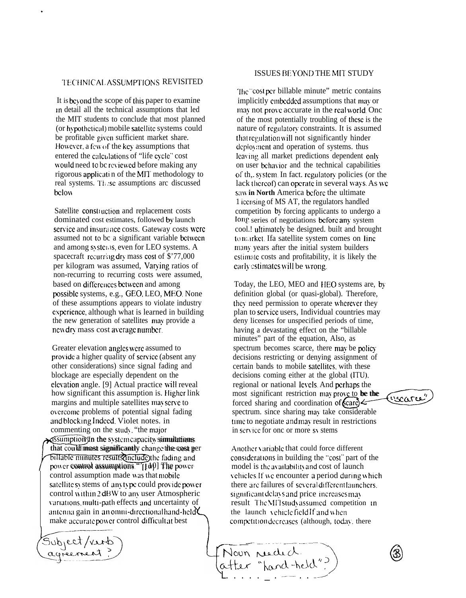#### TECHNICAL ASSUMPTIONS REVISITED

.

It is beyond the scope of this paper to examine in detail all the technical assumptions that led the MIT students to conclude that most planned (or hypothetical) mobile satellite systems could be profitable given sufficient market share. However, a few of the key assumptions that entered the calculations of "life cycle" cost would need to bc reviewed before making any rigorous applicati n of the MIT methodology to real systems. These assumptions are discussed bclow.

Satellite construction and replacement costs dominated cost estimates, followed by launch service and insurance costs. Gateway costs were assumed not to bc a significant variable between and among systems, even for LEO systems. A spacecraft recurring dry mass cost of \$'77,000 per kilogram was assumed, Varying ratios of non-recurring to recurring costs were assumed, based on differences between and among possible systems, e.g., GEO, LEO, MEO. None of these assumptions appears to violate industry cxpxience, although what is learned in building the new generation of satellites may provide a newdry mass cost average number.

Greater elevation angles were assumed to provide a higher quality of service (absent any other considerations) since signal fading and blockage are especially dependent on the elevation angle. [9] Actual practice will reveal how significant this assumption is. Higher link margins and multiple satellites may serve to overcome problems of potential signal fading and blocklng lndced. Violet notes. in commenting on the study, "the major billable minutes results<br>moment assumptions."[[10] The power<br>control assumption made was that mobile assumption in the system capacity simulations that could most significantly change the cost per billable minutes results include the fading and control assumption made was that mobile satellite sy stems of any type could provide power control within 2 dBW to any user Atmospheric variations, multi-path effects and uncertainty of  $\sum_{i=1}^{n}$ antenna gain in an omni-directionalhand-held make accurate power control difficult at best

Subject/verb

#### ISSUES BEYOND THE MIT STUDY

The "cost per billable minute" metric contains implicitly embedded assumptions that may or may not prove accurate in the real world. One of the most potentially troubling of these is the nature of regulatory constraints. It is assumed that regulation will not significantly hinder deployment and operation of systems. thus lcaving all market predictions dependent only on user behavior and the technical capabilities of th, system. In fact, regulatory policies (or the lack thereof) can operate in several ways. As we saw in North America before the ultimate 1 iccnsing of MS AT, the regulators handled competition by forcing applicants to undergo a long series of negotiations before any system cool.! ultimately be designed. built and brought to market. Ifa satellite system comes on line many years after the initial system builders estimate costs and profitability, it is likely the carly estimates will be wrong.

Today, the LEO, MEO and IIEO systems are, by definition global (or quasi-global). Therefore, they need permission to operate wherever they plan to sen'ice users, Individual countries may deny licenses for unspecified periods of time, having a devastating effect on the "billable minutes" part of the equation, Also, as spectrum becomes scarce, there may be policy decisions restricting or denying assignment of certain bands to mobile satellites, with these decisions coming either at the global (lTU). spectrum. since sharing may take considerable time to negotiate and may result in restrictions most significant restriction may prove to be the most significant restriction may prove to<br>forced sharing and coordination of **Care** regional or national levels. And perhaps the r they<br>s may<br>ime,<br>le<br>olicy<br>term of<br>ese<br>U.S. the<br>**be the (vectories)**<br>rable<br>tions in service for onc or more sy stems

Another variable that could force different considerations in building the "cost" part of the model is the availability and cost of launch vehicles. If we encounter a period during which there arc failures of several different launchers. significant delays and price increases may result The MIT study assumed competition in the launch vehicle field If and when competition decreases (although, today, there

**I** \_\_\_—. .— .. —-. ..— ——— , atter fanateur.



**c)**3